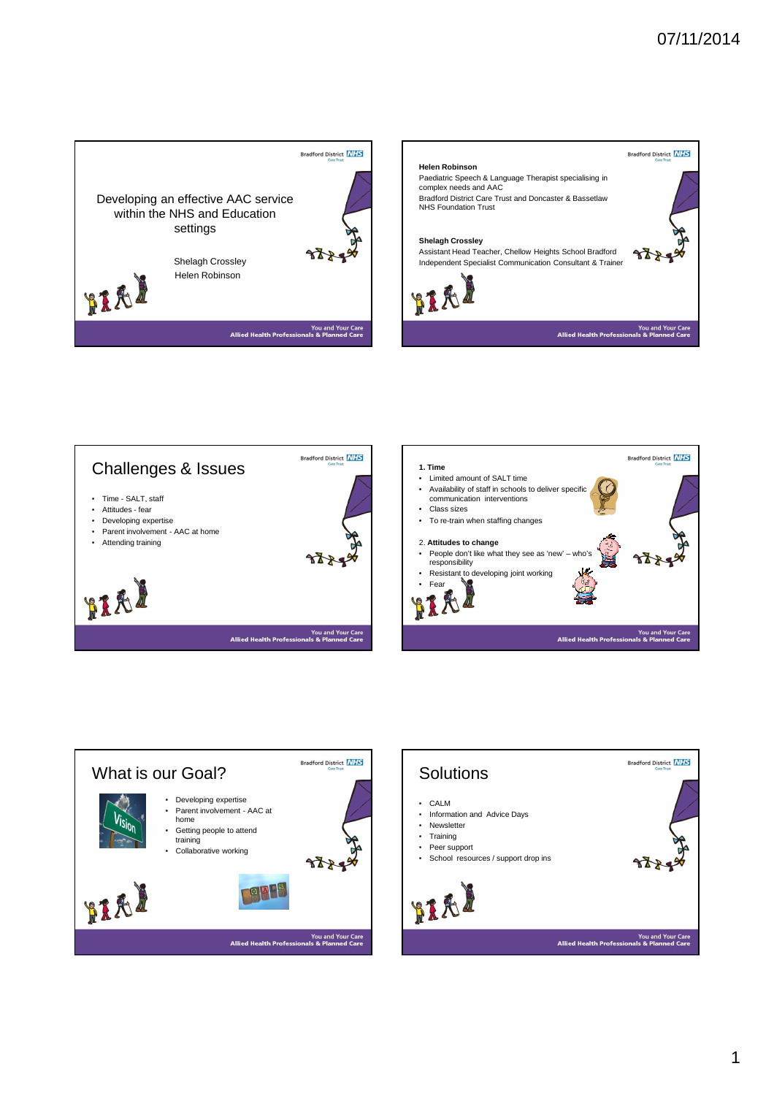





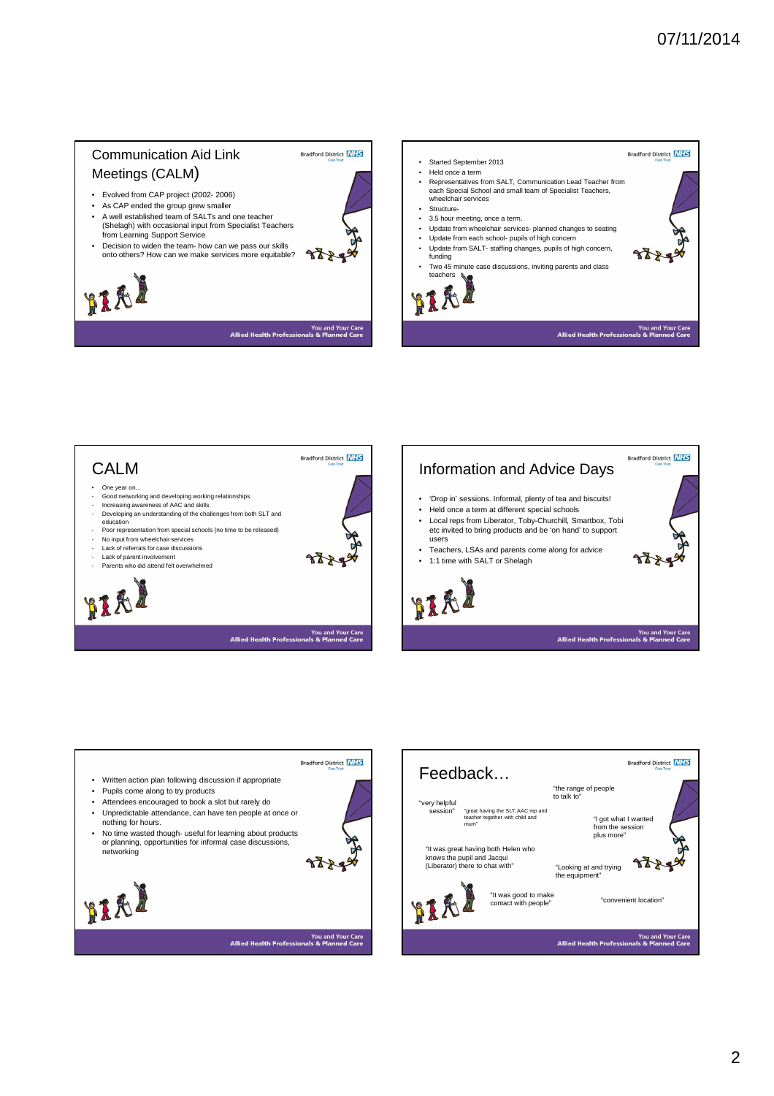## Communication Aid Link Meetings (CALM)

• Evolved from CAP project (2002- 2006)

HIAI

- As CAP ended the group grew smaller • A well established team of SALTs and one teacher
- (Shelagh) with occasional input from Specialist Teachers from Learning Support Service • Decision to widen the team- how can we pass our skills
- onto others? How can we make services more equitable?

**Bradford District NHS** • Started September 2013 • Held once a term • Representatives from SALT, Communication Lead Teacher from each Special School and small team of Specialist Teachers, wheelchair services • Structure- • 3.5 hour meeting, once a term. • Update from wheelchair services- planned changes to seating • Update from each school- pupils of high concern • Update from SALT- staffing changes, pupils of high concern, azz. funding • Two 45 minute case discussions, inviting parents and class teachers & You and Your Care<br>als & Planned Care **Allied Health Professi** 



**Bradford District** NHS

 $8884$ 

You and Your Care<br>als & Planned Care

**Allied Health Professi** 



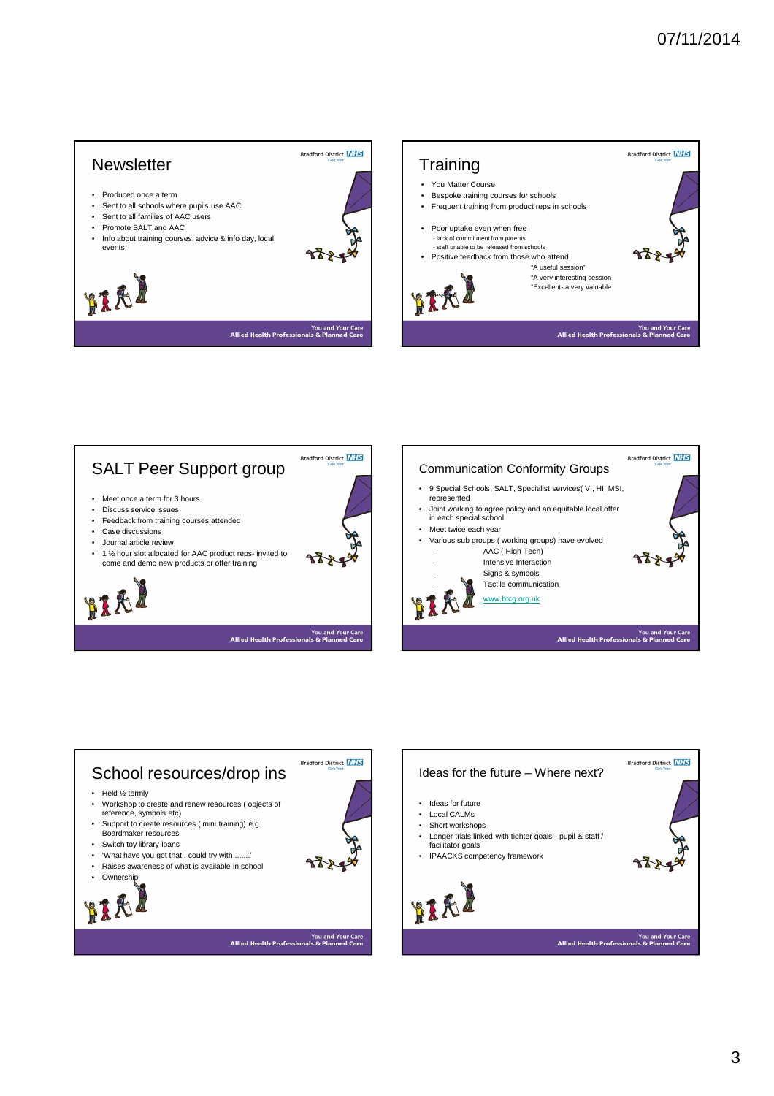